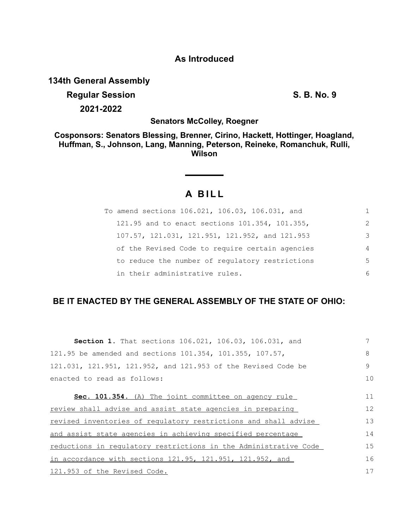## **As Introduced**

**134th General Assembly**

# **Regular Session S. B. No. 9 2021-2022**

**Senators McColley, Roegner**

**Cosponsors: Senators Blessing, Brenner, Cirino, Hackett, Hottinger, Hoagland, Huffman, S., Johnson, Lang, Manning, Peterson, Reineke, Romanchuk, Rulli, Wilson**

## **A B I L L**

| To amend sections 106.021, 106.03, 106.031, and |                |
|-------------------------------------------------|----------------|
| 121.95 and to enact sections 101.354, 101.355,  | $\mathcal{L}$  |
| 107.57, 121.031, 121.951, 121.952, and 121.953  | 3              |
| of the Revised Code to require certain agencies | $\overline{4}$ |
| to reduce the number of regulatory restrictions | 5              |
| in their administrative rules.                  | 6              |

## **BE IT ENACTED BY THE GENERAL ASSEMBLY OF THE STATE OF OHIO:**

| Section 1. That sections 106.021, 106.03, 106.031, and             |    |
|--------------------------------------------------------------------|----|
| 121.95 be amended and sections 101.354, 101.355, 107.57,           | 8  |
| 121.031, 121.951, 121.952, and 121.953 of the Revised Code be      | 9  |
| enacted to read as follows:                                        | 10 |
| Sec. 101.354. (A) The joint committee on agency rule               | 11 |
|                                                                    |    |
| review shall advise and assist state agencies in preparing         | 12 |
| revised inventories of regulatory restrictions and shall advise    | 13 |
| and assist state agencies in achieving specified percentage        | 14 |
| reductions in regulatory restrictions in the Administrative Code   | 15 |
| in accordance with sections $121.95$ , $121.951$ , $121.952$ , and | 16 |
| 121.953 of the Revised Code.                                       | 17 |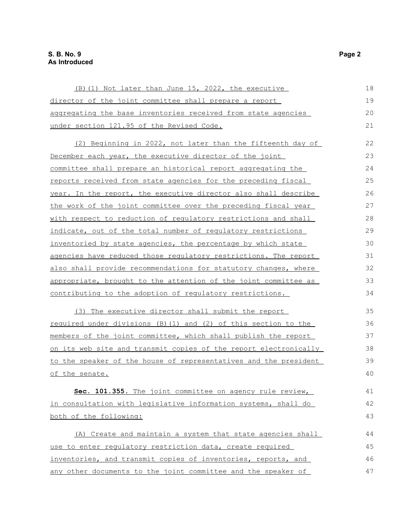### **S. B. No. 9 Page 2 As Introduced**

| (B) (1) Not later than June 15, 2022, the executive              | 18 |
|------------------------------------------------------------------|----|
| director of the joint committee shall prepare a report           | 19 |
| aggregating the base inventories received from state agencies    | 20 |
| under section 121.95 of the Revised Code.                        | 21 |
|                                                                  |    |
| (2) Beginning in 2022, not later than the fifteenth day of       | 22 |
| December each year, the executive director of the joint          | 23 |
| committee shall prepare an historical report aggregating the     | 24 |
| reports received from state agencies for the preceding fiscal    | 25 |
| year. In the report, the executive director also shall describe  | 26 |
| the work of the joint committee over the preceding fiscal year   | 27 |
| with respect to reduction of regulatory restrictions and shall   | 28 |
| indicate, out of the total number of regulatory restrictions     | 29 |
| inventoried by state agencies, the percentage by which state     | 30 |
| agencies have reduced those regulatory restrictions. The report  | 31 |
| also shall provide recommendations for statutory changes, where  | 32 |
| appropriate, brought to the attention of the joint committee as  | 33 |
| contributing to the adoption of regulatory restrictions.         | 34 |
| (3) The executive director shall submit the report               | 35 |
| required under divisions (B) (1) and (2) of this section to the  | 36 |
| members of the joint committee, which shall publish the report   | 37 |
| on its web site and transmit copies of the report electronically | 38 |
| to the speaker of the house of representatives and the president | 39 |
| of the senate.                                                   | 40 |
| Sec. 101.355. The joint committee on agency rule review,         | 41 |
| in consultation with legislative information systems, shall do   | 42 |
| both of the following:                                           | 43 |
| (A) Create and maintain a system that state agencies shall       | 44 |
| use to enter regulatory restriction data, create required        | 45 |
| inventories, and transmit copies of inventories, reports, and    | 46 |
| any other documents to the joint committee and the speaker of    | 47 |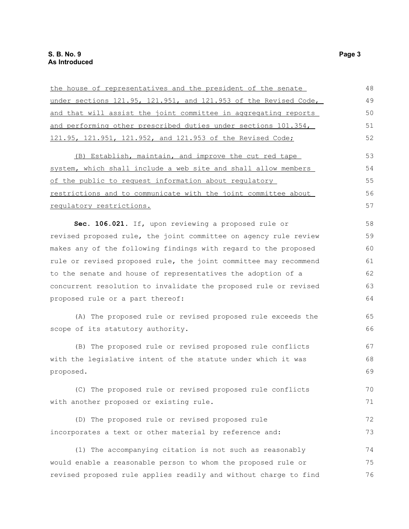| the house of representatives and the president of the senate     | 48 |
|------------------------------------------------------------------|----|
| under sections 121.95, 121.951, and 121.953 of the Revised Code, | 49 |
| and that will assist the joint committee in aggregating reports  | 50 |
| and performing other prescribed duties under sections 101.354,   | 51 |
| 121.95, 121.951, 121.952, and 121.953 of the Revised Code;       | 52 |
| (B) Establish, maintain, and improve the cut red tape            | 53 |
| system, which shall include a web site and shall allow members   | 54 |
| of the public to request information about regulatory            | 55 |
| restrictions and to communicate with the joint committee about   | 56 |
| requlatory restrictions.                                         | 57 |
| Sec. 106.021. If, upon reviewing a proposed rule or              | 58 |
| revised proposed rule, the joint committee on agency rule review | 59 |
| makes any of the following findings with regard to the proposed  | 60 |
| rule or revised proposed rule, the joint committee may recommend | 61 |
| to the senate and house of representatives the adoption of a     | 62 |
| concurrent resolution to invalidate the proposed rule or revised | 63 |
| proposed rule or a part thereof:                                 | 64 |
| (A) The proposed rule or revised proposed rule exceeds the       | 65 |
| scope of its statutory authority.                                | 66 |
| (B) The proposed rule or revised proposed rule conflicts         | 67 |
| with the legislative intent of the statute under which it was    | 68 |
| proposed.                                                        | 69 |
| (C) The proposed rule or revised proposed rule conflicts         | 70 |
| with another proposed or existing rule.                          | 71 |
| (D) The proposed rule or revised proposed rule                   | 72 |
| incorporates a text or other material by reference and:          | 73 |
| (1) The accompanying citation is not such as reasonably          | 74 |
| would enable a reasonable person to whom the proposed rule or    | 75 |
| revised proposed rule applies readily and without charge to find | 76 |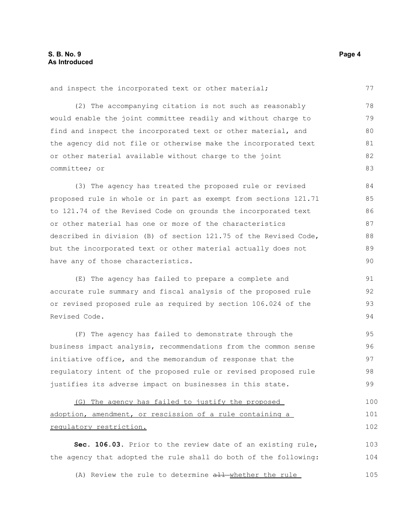| and inspect the incorporated text or other material;             | 77  |
|------------------------------------------------------------------|-----|
| (2) The accompanying citation is not such as reasonably          | 78  |
| would enable the joint committee readily and without charge to   | 79  |
| find and inspect the incorporated text or other material, and    | 80  |
| the agency did not file or otherwise make the incorporated text  | 81  |
| or other material available without charge to the joint          | 82  |
| committee; or                                                    | 83  |
| (3) The agency has treated the proposed rule or revised          | 84  |
| proposed rule in whole or in part as exempt from sections 121.71 | 85  |
| to 121.74 of the Revised Code on grounds the incorporated text   | 86  |
| or other material has one or more of the characteristics         | 87  |
| described in division (B) of section 121.75 of the Revised Code, | 88  |
| but the incorporated text or other material actually does not    | 89  |
| have any of those characteristics.                               | 90  |
| (E) The agency has failed to prepare a complete and              | 91  |
| accurate rule summary and fiscal analysis of the proposed rule   | 92  |
| or revised proposed rule as required by section 106.024 of the   | 93  |
| Revised Code.                                                    | 94  |
| (F) The agency has failed to demonstrate through the             | 95  |
| business impact analysis, recommendations from the common sense  | 96  |
| initiative office, and the memorandum of response that the       | 97  |
| regulatory intent of the proposed rule or revised proposed rule  | 98  |
| justifies its adverse impact on businesses in this state.        | 99  |
| (G) The agency has failed to justify the proposed                | 100 |
| adoption, amendment, or rescission of a rule containing a        | 101 |
| regulatory restriction.                                          | 102 |
| Sec. 106.03. Prior to the review date of an existing rule,       | 103 |

the agency that adopted the rule shall do both of the following: 104

(A) Review the rule to determine all whether the rule 105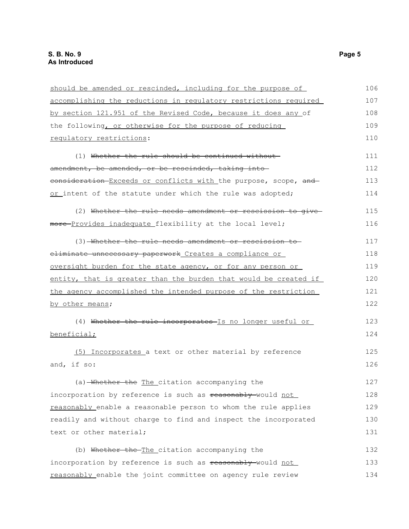| should be amended or rescinded, including for the purpose of     | 106 |
|------------------------------------------------------------------|-----|
| accomplishing the reductions in regulatory restrictions required | 107 |
| by section 121.951 of the Revised Code, because it does any of   | 108 |
| the following, or otherwise for the purpose of reducing          | 109 |
| regulatory restrictions:                                         | 110 |
| (1) Whether the rule should be continued without-                | 111 |
| amendment, be amended, or be rescinded, taking into              | 112 |
| consideration Exceeds or conflicts with the purpose, scope, and  | 113 |
| or intent of the statute under which the rule was adopted;       | 114 |
| (2) Whether the rule needs amendment or rescission to give-      | 115 |
| more-Provides inadequate_flexibility at the local level;         | 116 |
| (3) Whether the rule needs amendment or rescission to            | 117 |
| eliminate unnecessary paperwork Creates a compliance or          | 118 |
| oversight burden for the state agency, or for any person or      | 119 |
| entity, that is greater than the burden that would be created if | 120 |
| the agency accomplished the intended purpose of the restriction  | 121 |
| by other means;                                                  | 122 |
| (4) Whether the rule incorporates Is no longer useful or         | 123 |
| beneficial;                                                      | 124 |
| (5) Incorporates a text or other material by reference           | 125 |
| and, if so:                                                      | 126 |
| (a) Whether the The citation accompanying the                    | 127 |
| incorporation by reference is such as reasonably-would not       | 128 |
| reasonably enable a reasonable person to whom the rule applies   | 129 |
| readily and without charge to find and inspect the incorporated  | 130 |
| text or other material;                                          | 131 |
| (b) Whether the The citation accompanying the                    | 132 |
| incorporation by reference is such as reasonably-would not       | 133 |
| reasonably enable the joint committee on agency rule review      | 134 |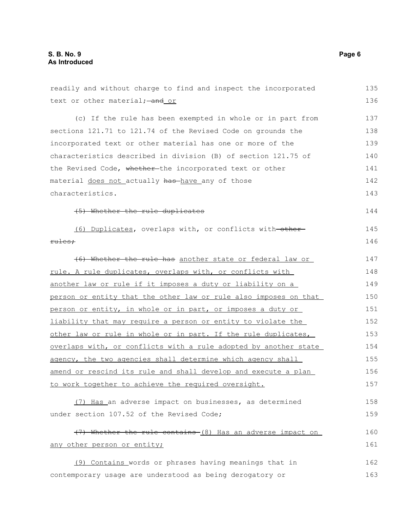| readily and without charge to find and inspect the incorporated  | 135 |
|------------------------------------------------------------------|-----|
| text or other material; - and or                                 | 136 |
| (c) If the rule has been exempted in whole or in part from       | 137 |
| sections 121.71 to 121.74 of the Revised Code on grounds the     | 138 |
| incorporated text or other material has one or more of the       | 139 |
| characteristics described in division (B) of section 121.75 of   | 140 |
| the Revised Code, whether the incorporated text or other         | 141 |
| material does not actually has have any of those                 | 142 |
| characteristics.                                                 | 143 |
| (5) Whether the rule duplicates                                  | 144 |
| (6) Duplicates, overlaps with, or conflicts with-other-          | 145 |
| rules:                                                           | 146 |
| (6) Whether the rule has another state or federal law or         | 147 |
| rule. A rule duplicates, overlaps with, or conflicts with        | 148 |
| another law or rule if it imposes a duty or liability on a       | 149 |
| person or entity that the other law or rule also imposes on that | 150 |
| person or entity, in whole or in part, or imposes a duty or      | 151 |
| liability that may require a person or entity to violate the     | 152 |
| other law or rule in whole or in part. If the rule duplicates,   | 153 |
| overlaps with, or conflicts with a rule adopted by another state | 154 |
| agency, the two agencies shall determine which agency shall      | 155 |
| amend or rescind its rule and shall develop and execute a plan   | 156 |
| to work together to achieve the required oversight.              | 157 |
| (7) Has an adverse impact on businesses, as determined           | 158 |
| under section 107.52 of the Revised Code;                        | 159 |
| (7) Whether the rule contains (8) Has an adverse impact on       | 160 |
| any other person or entity;                                      | 161 |
| (9) Contains words or phrases having meanings that in            | 162 |
| contemporary usage are understood as being derogatory or         | 163 |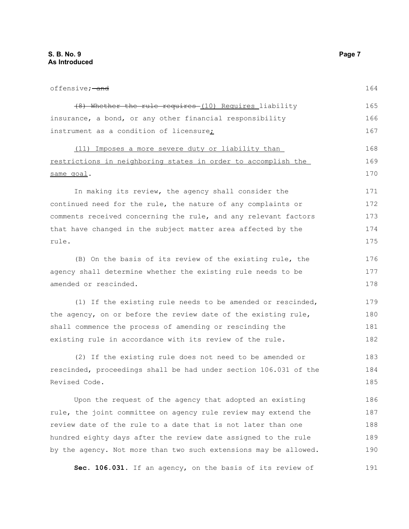offensive; and (8) Whether the rule requires (10) Requires liability insurance, a bond, or any other financial responsibility instrument as a condition of licensure; (11) Imposes a more severe duty or liability than restrictions in neighboring states in order to accomplish the same goal. In making its review, the agency shall consider the continued need for the rule, the nature of any complaints or comments received concerning the rule, and any relevant factors that have changed in the subject matter area affected by the rule. (B) On the basis of its review of the existing rule, the agency shall determine whether the existing rule needs to be amended or rescinded. (1) If the existing rule needs to be amended or rescinded, the agency, on or before the review date of the existing rule, shall commence the process of amending or rescinding the existing rule in accordance with its review of the rule. (2) If the existing rule does not need to be amended or rescinded, proceedings shall be had under section 106.031 of the Revised Code. Upon the request of the agency that adopted an existing rule, the joint committee on agency rule review may extend the review date of the rule to a date that is not later than one hundred eighty days after the review date assigned to the rule 164 165 166 167 168 169 170 171 172 173 174 175 176 177 178 179 180 181 182 183 184 185 186 187 188 189

**Sec. 106.031.** If an agency, on the basis of its review of 191

by the agency. Not more than two such extensions may be allowed.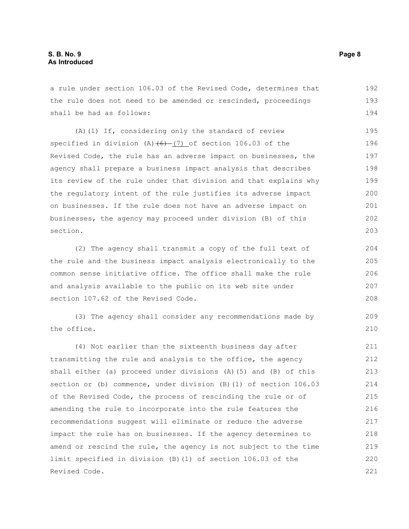a rule under section 106.03 of the Revised Code, determines that the rule does not need to be amended or rescinded, proceedings shall be had as follows: 192 193 194

(A)(1) If, considering only the standard of review specified in division  $(A)$   $(6)$   $(7)$  of section 106.03 of the Revised Code, the rule has an adverse impact on businesses, the agency shall prepare a business impact analysis that describes its review of the rule under that division and that explains why the regulatory intent of the rule justifies its adverse impact on businesses. If the rule does not have an adverse impact on businesses, the agency may proceed under division (B) of this section. 195 196 197 198 199 200 201 202 203

(2) The agency shall transmit a copy of the full text of the rule and the business impact analysis electronically to the common sense initiative office. The office shall make the rule and analysis available to the public on its web site under section 107.62 of the Revised Code.

(3) The agency shall consider any recommendations made by the office.

(4) Not earlier than the sixteenth business day after transmitting the rule and analysis to the office, the agency shall either (a) proceed under divisions (A)(5) and (B) of this section or (b) commence, under division (B)(1) of section 106.03 of the Revised Code, the process of rescinding the rule or of amending the rule to incorporate into the rule features the recommendations suggest will eliminate or reduce the adverse impact the rule has on businesses. If the agency determines to amend or rescind the rule, the agency is not subject to the time limit specified in division (B)(1) of section 106.03 of the Revised Code. 211 212 213 214 215 216 217 218 219 220 221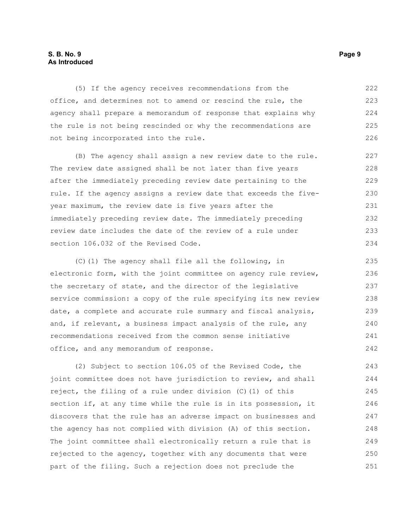#### **S. B. No. 9 Page 9 As Introduced**

(5) If the agency receives recommendations from the office, and determines not to amend or rescind the rule, the agency shall prepare a memorandum of response that explains why the rule is not being rescinded or why the recommendations are not being incorporated into the rule. 222 223 224 225 226

(B) The agency shall assign a new review date to the rule. The review date assigned shall be not later than five years after the immediately preceding review date pertaining to the rule. If the agency assigns a review date that exceeds the fiveyear maximum, the review date is five years after the immediately preceding review date. The immediately preceding review date includes the date of the review of a rule under section 106.032 of the Revised Code.

(C)(1) The agency shall file all the following, in electronic form, with the joint committee on agency rule review, the secretary of state, and the director of the legislative service commission: a copy of the rule specifying its new review date, a complete and accurate rule summary and fiscal analysis, and, if relevant, a business impact analysis of the rule, any recommendations received from the common sense initiative office, and any memorandum of response. 235 236 237 238 239 240 241 242

(2) Subject to section 106.05 of the Revised Code, the joint committee does not have jurisdiction to review, and shall reject, the filing of a rule under division (C)(1) of this section if, at any time while the rule is in its possession, it discovers that the rule has an adverse impact on businesses and the agency has not complied with division (A) of this section. The joint committee shall electronically return a rule that is rejected to the agency, together with any documents that were part of the filing. Such a rejection does not preclude the 243 244 245 246 247 248 249 250 251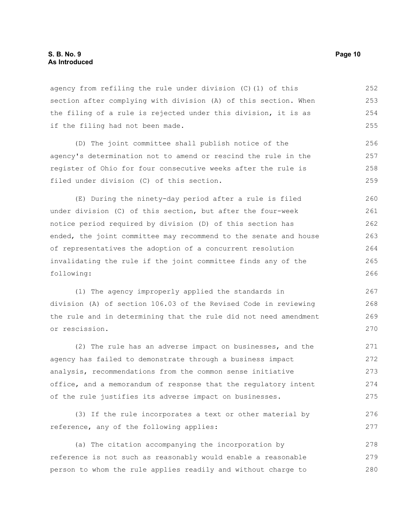agency from refiling the rule under division (C)(1) of this section after complying with division (A) of this section. When the filing of a rule is rejected under this division, it is as if the filing had not been made. 252 253 254 255

(D) The joint committee shall publish notice of the agency's determination not to amend or rescind the rule in the register of Ohio for four consecutive weeks after the rule is filed under division (C) of this section. 256 257 258 259

(E) During the ninety-day period after a rule is filed under division (C) of this section, but after the four-week notice period required by division (D) of this section has ended, the joint committee may recommend to the senate and house of representatives the adoption of a concurrent resolution invalidating the rule if the joint committee finds any of the following: 260 261 262 263 264 265 266

(1) The agency improperly applied the standards in division (A) of section 106.03 of the Revised Code in reviewing the rule and in determining that the rule did not need amendment or rescission. 267 268 269 270

(2) The rule has an adverse impact on businesses, and the agency has failed to demonstrate through a business impact analysis, recommendations from the common sense initiative office, and a memorandum of response that the regulatory intent of the rule justifies its adverse impact on businesses. 271 272 273 274 275

(3) If the rule incorporates a text or other material by reference, any of the following applies: 276 277

(a) The citation accompanying the incorporation by reference is not such as reasonably would enable a reasonable person to whom the rule applies readily and without charge to 278 279 280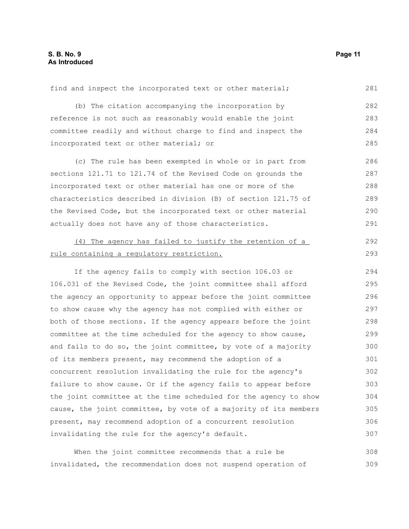| find and inspect the incorporated text or other material;        | 281 |
|------------------------------------------------------------------|-----|
| (b) The citation accompanying the incorporation by               | 282 |
| reference is not such as reasonably would enable the joint       | 283 |
| committee readily and without charge to find and inspect the     | 284 |
| incorporated text or other material; or                          | 285 |
| (c) The rule has been exempted in whole or in part from          | 286 |
| sections 121.71 to 121.74 of the Revised Code on grounds the     | 287 |
| incorporated text or other material has one or more of the       | 288 |
| characteristics described in division (B) of section 121.75 of   | 289 |
| the Revised Code, but the incorporated text or other material    | 290 |
| actually does not have any of those characteristics.             | 291 |
| (4) The agency has failed to justify the retention of a          | 292 |
| rule containing a regulatory restriction.                        | 293 |
| If the agency fails to comply with section 106.03 or             | 294 |
| 106.031 of the Revised Code, the joint committee shall afford    | 295 |
| the agency an opportunity to appear before the joint committee   | 296 |
| to show cause why the agency has not complied with either or     | 297 |
| both of those sections. If the agency appears before the joint   | 298 |
| committee at the time scheduled for the agency to show cause,    | 299 |
| and fails to do so, the joint committee, by vote of a majority   | 300 |
| of its members present, may recommend the adoption of a          | 301 |
| concurrent resolution invalidating the rule for the agency's     | 302 |
| failure to show cause. Or if the agency fails to appear before   | 303 |
| the joint committee at the time scheduled for the agency to show | 304 |
| cause, the joint committee, by vote of a majority of its members | 305 |
| present, may recommend adoption of a concurrent resolution       | 306 |
| invalidating the rule for the agency's default.                  | 307 |
|                                                                  |     |

When the joint committee recommends that a rule be invalidated, the recommendation does not suspend operation of 308 309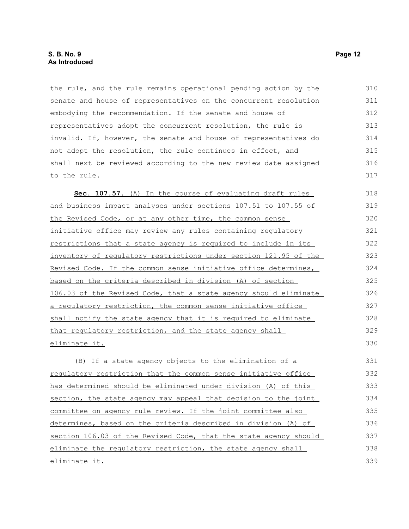the rule, and the rule remains operational pending action by the senate and house of representatives on the concurrent resolution embodying the recommendation. If the senate and house of representatives adopt the concurrent resolution, the rule is invalid. If, however, the senate and house of representatives do not adopt the resolution, the rule continues in effect, and shall next be reviewed according to the new review date assigned to the rule. 310 311 312 313 314 315 316 317

Sec. 107.57. (A) In the course of evaluating draft rules and business impact analyses under sections 107.51 to 107.55 of the Revised Code, or at any other time, the common sense initiative office may review any rules containing regulatory restrictions that a state agency is required to include in its inventory of regulatory restrictions under section 121.95 of the Revised Code. If the common sense initiative office determines, based on the criteria described in division (A) of section 106.03 of the Revised Code, that a state agency should eliminate a regulatory restriction, the common sense initiative office shall notify the state agency that it is required to eliminate that regulatory restriction, and the state agency shall eliminate it. 318 319 320 321 322 323 324 325 326 327 328 329 330

(B) If a state agency objects to the elimination of a regulatory restriction that the common sense initiative office has determined should be eliminated under division (A) of this section, the state agency may appeal that decision to the joint committee on agency rule review. If the joint committee also determines, based on the criteria described in division (A) of section 106.03 of the Revised Code, that the state agency should eliminate the regulatory restriction, the state agency shall eliminate it. 331 332 333 334 335 336 337 338 339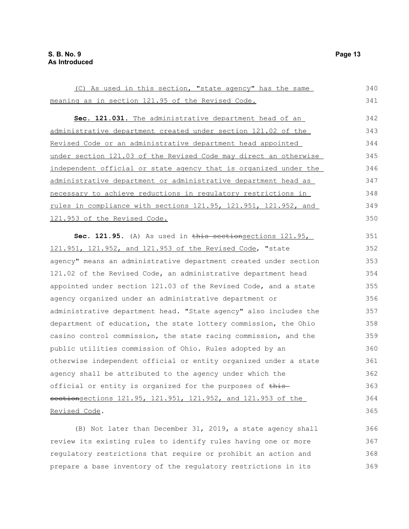(C) As used in this section, "state agency" has the same meaning as in section 121.95 of the Revised Code. **Sec. 121.031.** The administrative department head of an administrative department created under section 121.02 of the Revised Code or an administrative department head appointed under section 121.03 of the Revised Code may direct an otherwise independent official or state agency that is organized under the administrative department or administrative department head as necessary to achieve reductions in regulatory restrictions in rules in compliance with sections 121.95, 121.951, 121.952, and 121.953 of the Revised Code. Sec. 121.95. (A) As used in this sectionsections 121.95, 121.951, 121.952, and 121.953 of the Revised Code, "state agency" means an administrative department created under section 121.02 of the Revised Code, an administrative department head appointed under section 121.03 of the Revised Code, and a state agency organized under an administrative department or administrative department head. "State agency" also includes the department of education, the state lottery commission, the Ohio casino control commission, the state racing commission, and the public utilities commission of Ohio. Rules adopted by an otherwise independent official or entity organized under a state agency shall be attributed to the agency under which the official or entity is organized for the purposes of thissectionsections 121.95, 121.951, 121.952, and 121.953 of the Revised Code. (B) Not later than December 31, 2019, a state agency shall 340 341 342 343 344 345 346 347 348 349 350 351 352 353 354 355 356 357 358 359 360 361 362 363 364 365 366

review its existing rules to identify rules having one or more regulatory restrictions that require or prohibit an action and prepare a base inventory of the regulatory restrictions in its 367 368 369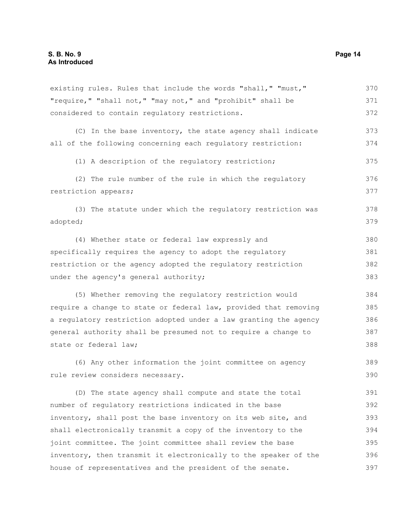existing rules. Rules that include the words "shall," "must," "require," "shall not," "may not," and "prohibit" shall be considered to contain regulatory restrictions. (C) In the base inventory, the state agency shall indicate all of the following concerning each regulatory restriction: (1) A description of the regulatory restriction; (2) The rule number of the rule in which the regulatory restriction appears; (3) The statute under which the regulatory restriction was adopted; (4) Whether state or federal law expressly and specifically requires the agency to adopt the regulatory restriction or the agency adopted the regulatory restriction under the agency's general authority; (5) Whether removing the regulatory restriction would require a change to state or federal law, provided that removing a regulatory restriction adopted under a law granting the agency general authority shall be presumed not to require a change to state or federal law; (6) Any other information the joint committee on agency rule review considers necessary. (D) The state agency shall compute and state the total number of regulatory restrictions indicated in the base inventory, shall post the base inventory on its web site, and shall electronically transmit a copy of the inventory to the joint committee. The joint committee shall review the base inventory, then transmit it electronically to the speaker of the house of representatives and the president of the senate. 370 371 372 373 374 375 376 377 378 379 380 381 382 383 384 385 386 387 388 389 390 391 392 393 394 395 396 397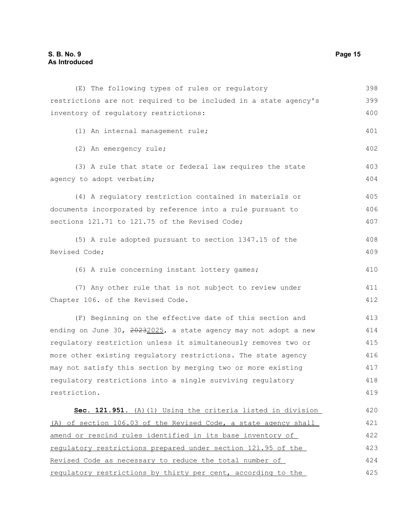| (E) The following types of rules or regulatory                   | 398 |
|------------------------------------------------------------------|-----|
| restrictions are not required to be included in a state agency's | 399 |
| inventory of regulatory restrictions:                            | 400 |
| (1) An internal management rule;                                 | 401 |
| (2) An emergency rule;                                           | 402 |
| (3) A rule that state or federal law requires the state          | 403 |
| agency to adopt verbatim;                                        | 404 |
| (4) A regulatory restriction contained in materials or           | 405 |
| documents incorporated by reference into a rule pursuant to      | 406 |
| sections 121.71 to 121.75 of the Revised Code;                   | 407 |
| (5) A rule adopted pursuant to section 1347.15 of the            | 408 |
| Revised Code;                                                    | 409 |
| (6) A rule concerning instant lottery games;                     | 410 |
| (7) Any other rule that is not subject to review under           | 411 |
| Chapter 106. of the Revised Code.                                | 412 |
| (F) Beginning on the effective date of this section and          | 413 |
| ending on June 30, 20232025, a state agency may not adopt a new  | 414 |
| regulatory restriction unless it simultaneously removes two or   | 415 |
| more other existing regulatory restrictions. The state agency    | 416 |
| may not satisfy this section by merging two or more existing     | 417 |
| regulatory restrictions into a single surviving regulatory       | 418 |
| restriction.                                                     | 419 |
| Sec. 121.951. (A) (1) Using the criteria listed in division      | 420 |
| (A) of section 106.03 of the Revised Code, a state agency shall  | 421 |
| amend or rescind rules identified in its base inventory of       | 422 |
| requlatory restrictions prepared under section 121.95 of the     | 423 |
| Revised Code as necessary to reduce the total number of          | 424 |
| regulatory restrictions by thirty per cent, according to the     | 425 |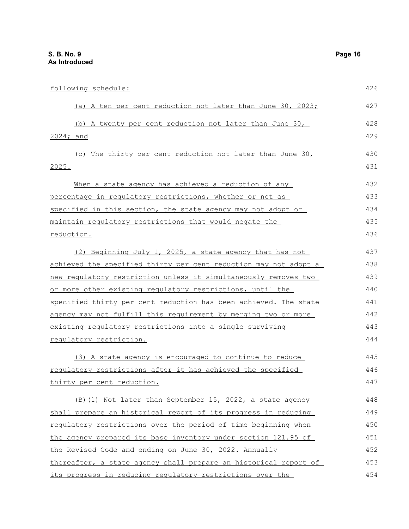| following schedule:                                              | 426 |
|------------------------------------------------------------------|-----|
| (a) A ten per cent reduction not later than June 30, 2023;       | 427 |
| (b) A twenty per cent reduction not later than June 30,          | 428 |
| 2024; and                                                        | 429 |
| (c) The thirty per cent reduction not later than June 30,        | 430 |
| <u> 2025.</u>                                                    | 431 |
| When a state agency has achieved a reduction of any              | 432 |
| <u>percentage in regulatory restrictions, whether or not as </u> | 433 |
| specified in this section, the state agency may not adopt or     | 434 |
| maintain regulatory restrictions that would negate the           | 435 |
| reduction.                                                       | 436 |
| (2) Beginning July 1, 2025, a state agency that has not          | 437 |
| achieved the specified thirty per cent reduction may not adopt a | 438 |
| new requlatory restriction unless it simultaneously removes two  | 439 |
| or more other existing regulatory restrictions, until the        | 440 |
| specified thirty per cent reduction has been achieved. The state | 441 |
| agency may not fulfill this requirement by merging two or more   | 442 |
| existing regulatory restrictions into a single surviving         | 443 |
| requlatory restriction.                                          | 444 |
| (3) A state agency is encouraged to continue to reduce           | 445 |
| requlatory restrictions after it has achieved the specified      | 446 |
| thirty per cent reduction.                                       | 447 |
| (B) (1) Not later than September 15, 2022, a state agency        | 448 |
| shall prepare an historical report of its progress in reducing   | 449 |
| regulatory restrictions over the period of time beginning when   | 450 |
| the agency prepared its base inventory under section 121.95 of   | 451 |
| the Revised Code and ending on June 30, 2022. Annually           | 452 |
| thereafter, a state agency shall prepare an historical report of | 453 |
| its progress in reducing regulatory restrictions over the        | 454 |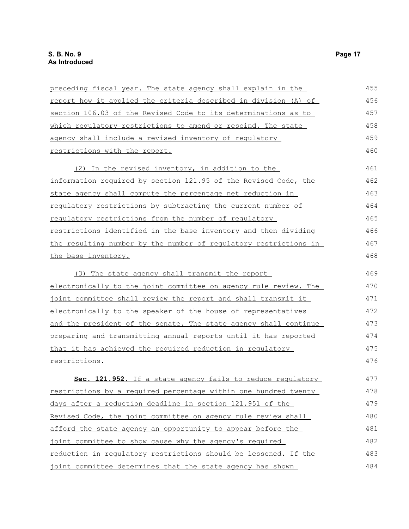| preceding fiscal year. The state agency shall explain in the           | 455 |
|------------------------------------------------------------------------|-----|
| <u>report how it applied the criteria described in division (A) of</u> | 456 |
| section 106.03 of the Revised Code to its determinations as to         | 457 |
| which regulatory restrictions to amend or rescind. The state           | 458 |
| agency shall include a revised inventory of regulatory                 | 459 |
| restrictions with the report.                                          | 460 |
| (2) In the revised inventory, in addition to the                       | 461 |
| information required by section 121.95 of the Revised Code, the        | 462 |
| state agency shall compute the percentage net reduction in             | 463 |
| <u>requlatory restrictions by subtracting the current number of</u>    | 464 |
| regulatory restrictions from the number of regulatory                  | 465 |
| restrictions identified in the base inventory and then dividing        | 466 |
| the resulting number by the number of requlatory restrictions in       | 467 |
| the base inventory.                                                    | 468 |
| (3) The state agency shall transmit the report                         | 469 |
| electronically to the joint committee on agency rule review. The       | 470 |
| joint committee shall review the report and shall transmit it          | 471 |
| electronically to the speaker of the house of representatives          | 472 |
| and the president of the senate. The state agency shall continue       | 473 |
| preparing and transmitting annual reports until it has reported        | 474 |
| that it has achieved the required reduction in requlatory              | 475 |
| restrictions.                                                          | 476 |
| Sec. 121.952. If a state agency fails to reduce regulatory             | 477 |
| restrictions by a required percentage within one hundred twenty        | 478 |
| days after a reduction deadline in section 121.951 of the              | 479 |
| Revised Code, the joint committee on agency rule review shall          | 480 |
| afford the state agency an opportunity to appear before the            | 481 |
| joint committee to show cause why the agency's required                | 482 |
| reduction in regulatory restrictions should be lessened. If the        | 483 |
| joint committee determines that the state agency has shown             | 484 |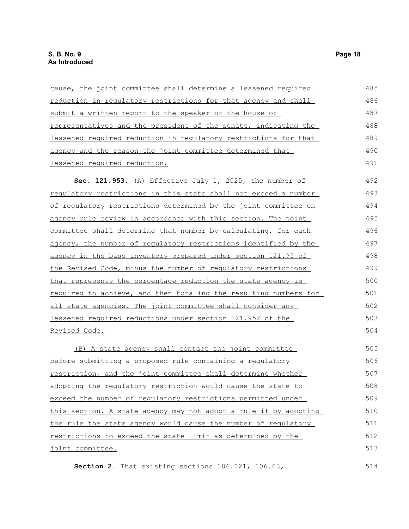| cause, the joint committee shall determine a lessened required   | 485 |
|------------------------------------------------------------------|-----|
| reduction in regulatory restrictions for that agency and shall   | 486 |
| submit a written report to the speaker of the house of           | 487 |
| representatives and the president of the senate, indicating the  | 488 |
| lessened required reduction in requlatory restrictions for that  | 489 |
| agency and the reason the joint committee determined that        | 490 |
| lessened required reduction.                                     | 491 |
| Sec. 121.953. (A) Effective July 1, 2025, the number of          | 492 |
| requlatory restrictions in this state shall not exceed a number  | 493 |
| of requlatory restrictions determined by the joint committee on  | 494 |
| agency rule review in accordance with this section. The joint    | 495 |
| committee shall determine that number by calculating, for each   | 496 |
| agency, the number of regulatory restrictions identified by the  | 497 |
| agency in the base inventory prepared under section 121.95 of    | 498 |
| the Revised Code, minus the number of requlatory restrictions    | 499 |
| that represents the percentage reduction the state agency is     | 500 |
| required to achieve, and then totaling the resulting numbers for | 501 |
| all state agencies. The joint committee shall consider any       | 502 |
| lessened required reductions under section 121.952 of the        | 503 |
| Revised Code.                                                    | 504 |
| (B) A state agency shall contact the joint committee             | 505 |
| before submitting a proposed rule containing a regulatory        | 506 |
| restriction, and the joint committee shall determine whether     | 507 |
| adopting the regulatory restriction would cause the state to     | 508 |
| exceed the number of requlatory restrictions permitted under     | 509 |
| this section. A state agency may not adopt a rule if by adopting | 510 |
| the rule the state agency would cause the number of regulatory   | 511 |
| restrictions to exceed the state limit as determined by the      | 512 |
| joint committee.                                                 | 513 |

**Section 2.** That existing sections 106.021, 106.03,